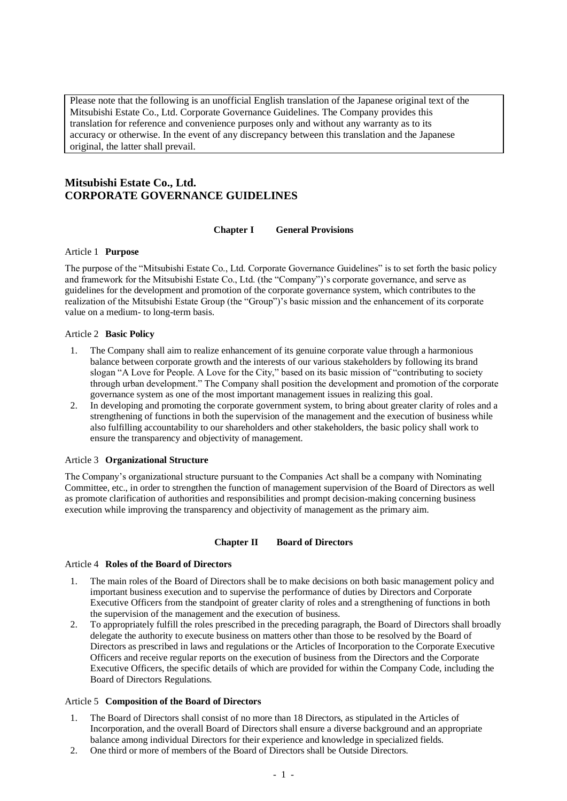Please note that the following is an unofficial English translation of the Japanese original text of the Mitsubishi Estate Co., Ltd. Corporate Governance Guidelines. The Company provides this translation for reference and convenience purposes only and without any warranty as to its accuracy or otherwise. In the event of any discrepancy between this translation and the Japanese original, the latter shall prevail.

# **Mitsubishi Estate Co., Ltd. CORPORATE GOVERNANCE GUIDELINES**

#### **Chapter I General Provisions**

#### Article 1 **Purpose**

The purpose of the "Mitsubishi Estate Co., Ltd. Corporate Governance Guidelines" is to set forth the basic policy and framework for the Mitsubishi Estate Co., Ltd. (the "Company")'s corporate governance, and serve as guidelines for the development and promotion of the corporate governance system, which contributes to the realization of the Mitsubishi Estate Group (the "Group")'s basic mission and the enhancement of its corporate value on a medium- to long-term basis.

#### Article 2 **Basic Policy**

- 1. The Company shall aim to realize enhancement of its genuine corporate value through a harmonious balance between corporate growth and the interests of our various stakeholders by following its brand slogan "A Love for People. A Love for the City," based on its basic mission of "contributing to society through urban development." The Company shall position the development and promotion of the corporate governance system as one of the most important management issues in realizing this goal.
- 2. In developing and promoting the corporate government system, to bring about greater clarity of roles and a strengthening of functions in both the supervision of the management and the execution of business while also fulfilling accountability to our shareholders and other stakeholders, the basic policy shall work to ensure the transparency and objectivity of management.

## Article 3 **Organizational Structure**

The Company's organizational structure pursuant to the Companies Act shall be a company with Nominating Committee, etc., in order to strengthen the function of management supervision of the Board of Directors as well as promote clarification of authorities and responsibilities and prompt decision-making concerning business execution while improving the transparency and objectivity of management as the primary aim.

#### **Chapter II Board of Directors**

#### Article 4 **Roles of the Board of Directors**

- 1. The main roles of the Board of Directors shall be to make decisions on both basic management policy and important business execution and to supervise the performance of duties by Directors and Corporate Executive Officers from the standpoint of greater clarity of roles and a strengthening of functions in both the supervision of the management and the execution of business.
- 2. To appropriately fulfill the roles prescribed in the preceding paragraph, the Board of Directors shall broadly delegate the authority to execute business on matters other than those to be resolved by the Board of Directors as prescribed in laws and regulations or the Articles of Incorporation to the Corporate Executive Officers and receive regular reports on the execution of business from the Directors and the Corporate Executive Officers, the specific details of which are provided for within the Company Code, including the Board of Directors Regulations.

#### Article 5 **Composition of the Board of Directors**

- 1. The Board of Directors shall consist of no more than 18 Directors, as stipulated in the Articles of Incorporation, and the overall Board of Directors shall ensure a diverse background and an appropriate balance among individual Directors for their experience and knowledge in specialized fields.
- 2. One third or more of members of the Board of Directors shall be Outside Directors.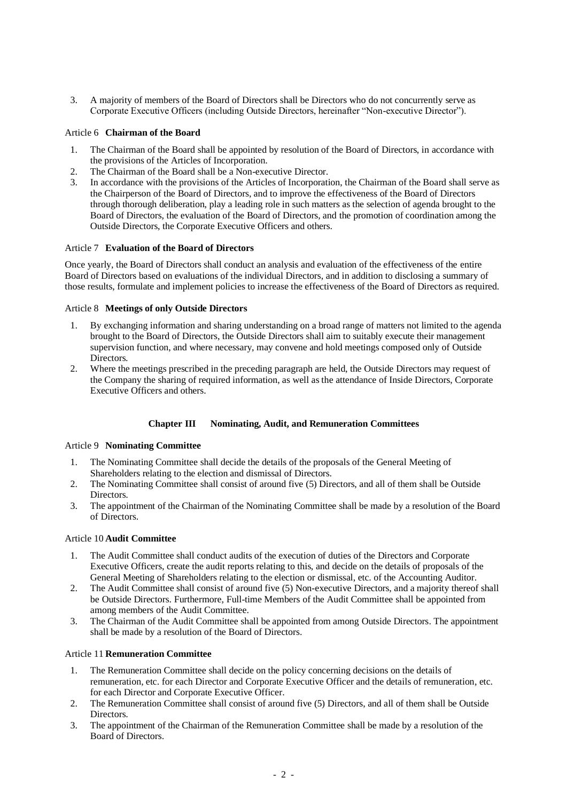3. A majority of members of the Board of Directors shall be Directors who do not concurrently serve as Corporate Executive Officers (including Outside Directors, hereinafter "Non-executive Director").

## Article 6 **Chairman of the Board**

- 1. The Chairman of the Board shall be appointed by resolution of the Board of Directors, in accordance with the provisions of the Articles of Incorporation.
- 2. The Chairman of the Board shall be a Non-executive Director.
- 3. In accordance with the provisions of the Articles of Incorporation, the Chairman of the Board shall serve as the Chairperson of the Board of Directors, and to improve the effectiveness of the Board of Directors through thorough deliberation, play a leading role in such matters as the selection of agenda brought to the Board of Directors, the evaluation of the Board of Directors, and the promotion of coordination among the Outside Directors, the Corporate Executive Officers and others.

#### Article 7 **Evaluation of the Board of Directors**

Once yearly, the Board of Directors shall conduct an analysis and evaluation of the effectiveness of the entire Board of Directors based on evaluations of the individual Directors, and in addition to disclosing a summary of those results, formulate and implement policies to increase the effectiveness of the Board of Directors as required.

## Article 8 **Meetings of only Outside Directors**

- 1. By exchanging information and sharing understanding on a broad range of matters not limited to the agenda brought to the Board of Directors, the Outside Directors shall aim to suitably execute their management supervision function, and where necessary, may convene and hold meetings composed only of Outside Directors.
- 2. Where the meetings prescribed in the preceding paragraph are held, the Outside Directors may request of the Company the sharing of required information, as well as the attendance of Inside Directors, Corporate Executive Officers and others.

## **Chapter III Nominating, Audit, and Remuneration Committees**

#### Article 9 **Nominating Committee**

- 1. The Nominating Committee shall decide the details of the proposals of the General Meeting of Shareholders relating to the election and dismissal of Directors.
- 2. The Nominating Committee shall consist of around five (5) Directors, and all of them shall be Outside **Directors**
- 3. The appointment of the Chairman of the Nominating Committee shall be made by a resolution of the Board of Directors.

#### Article 10 **Audit Committee**

- 1. The Audit Committee shall conduct audits of the execution of duties of the Directors and Corporate Executive Officers, create the audit reports relating to this, and decide on the details of proposals of the General Meeting of Shareholders relating to the election or dismissal, etc. of the Accounting Auditor.
- 2. The Audit Committee shall consist of around five (5) Non-executive Directors, and a majority thereof shall be Outside Directors. Furthermore, Full-time Members of the Audit Committee shall be appointed from among members of the Audit Committee.
- 3. The Chairman of the Audit Committee shall be appointed from among Outside Directors. The appointment shall be made by a resolution of the Board of Directors.

## Article 11 **Remuneration Committee**

- 1. The Remuneration Committee shall decide on the policy concerning decisions on the details of remuneration, etc. for each Director and Corporate Executive Officer and the details of remuneration, etc. for each Director and Corporate Executive Officer.
- 2. The Remuneration Committee shall consist of around five (5) Directors, and all of them shall be Outside **Directors**
- 3. The appointment of the Chairman of the Remuneration Committee shall be made by a resolution of the Board of Directors.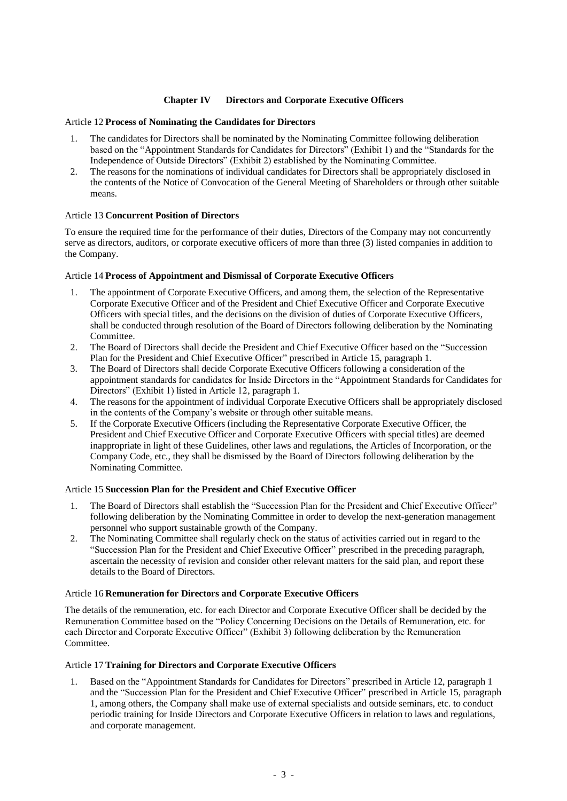## **Chapter IV Directors and Corporate Executive Officers**

#### Article 12 **Process of Nominating the Candidates for Directors**

- 1. The candidates for Directors shall be nominated by the Nominating Committee following deliberation based on the "Appointment Standards for Candidates for Directors" (Exhibit 1) and the "Standards for the Independence of Outside Directors" (Exhibit 2) established by the Nominating Committee.
- 2. The reasons for the nominations of individual candidates for Directors shall be appropriately disclosed in the contents of the Notice of Convocation of the General Meeting of Shareholders or through other suitable means.

#### Article 13 **Concurrent Position of Directors**

To ensure the required time for the performance of their duties, Directors of the Company may not concurrently serve as directors, auditors, or corporate executive officers of more than three (3) listed companies in addition to the Company.

#### Article 14 **Process of Appointment and Dismissal of Corporate Executive Officers**

- 1. The appointment of Corporate Executive Officers, and among them, the selection of the Representative Corporate Executive Officer and of the President and Chief Executive Officer and Corporate Executive Officers with special titles, and the decisions on the division of duties of Corporate Executive Officers, shall be conducted through resolution of the Board of Directors following deliberation by the Nominating Committee.
- 2. The Board of Directors shall decide the President and Chief Executive Officer based on the "Succession Plan for the President and Chief Executive Officer" prescribed in Article 15, paragraph 1.
- 3. The Board of Directors shall decide Corporate Executive Officers following a consideration of the appointment standards for candidates for Inside Directors in the "Appointment Standards for Candidates for Directors" (Exhibit 1) listed in Article 12, paragraph 1.
- 4. The reasons for the appointment of individual Corporate Executive Officers shall be appropriately disclosed in the contents of the Company's website or through other suitable means.
- 5. If the Corporate Executive Officers (including the Representative Corporate Executive Officer, the President and Chief Executive Officer and Corporate Executive Officers with special titles) are deemed inappropriate in light of these Guidelines, other laws and regulations, the Articles of Incorporation, or the Company Code, etc., they shall be dismissed by the Board of Directors following deliberation by the Nominating Committee.

#### Article 15 **Succession Plan for the President and Chief Executive Officer**

- 1. The Board of Directors shall establish the "Succession Plan for the President and Chief Executive Officer" following deliberation by the Nominating Committee in order to develop the next-generation management personnel who support sustainable growth of the Company.
- 2. The Nominating Committee shall regularly check on the status of activities carried out in regard to the "Succession Plan for the President and Chief Executive Officer" prescribed in the preceding paragraph, ascertain the necessity of revision and consider other relevant matters for the said plan, and report these details to the Board of Directors.

#### Article 16 **Remuneration for Directors and Corporate Executive Officers**

The details of the remuneration, etc. for each Director and Corporate Executive Officer shall be decided by the Remuneration Committee based on the "Policy Concerning Decisions on the Details of Remuneration, etc. for each Director and Corporate Executive Officer" (Exhibit 3) following deliberation by the Remuneration Committee.

#### Article 17 **Training for Directors and Corporate Executive Officers**

1. Based on the "Appointment Standards for Candidates for Directors" prescribed in Article 12, paragraph 1 and the "Succession Plan for the President and Chief Executive Officer" prescribed in Article 15, paragraph 1, among others, the Company shall make use of external specialists and outside seminars, etc. to conduct periodic training for Inside Directors and Corporate Executive Officers in relation to laws and regulations, and corporate management.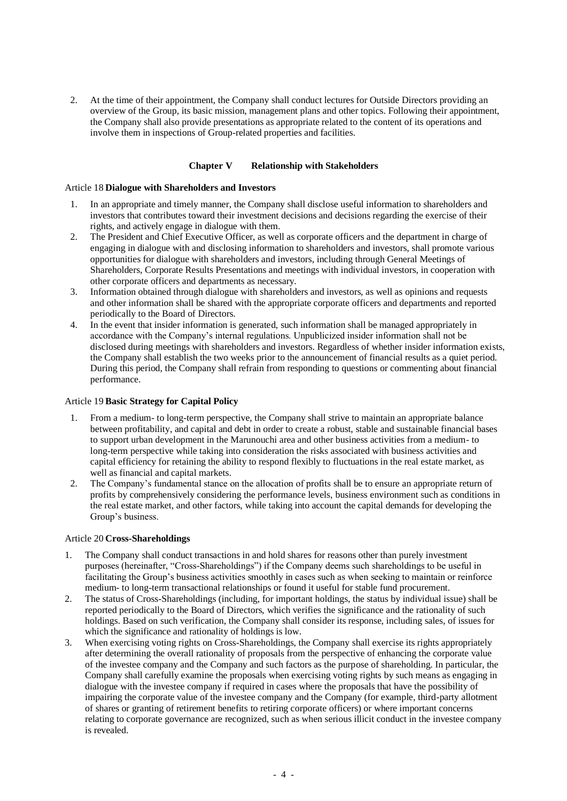2. At the time of their appointment, the Company shall conduct lectures for Outside Directors providing an overview of the Group, its basic mission, management plans and other topics. Following their appointment, the Company shall also provide presentations as appropriate related to the content of its operations and involve them in inspections of Group-related properties and facilities.

#### **Chapter V Relationship with Stakeholders**

#### Article 18 **Dialogue with Shareholders and Investors**

- 1. In an appropriate and timely manner, the Company shall disclose useful information to shareholders and investors that contributes toward their investment decisions and decisions regarding the exercise of their rights, and actively engage in dialogue with them.
- 2. The President and Chief Executive Officer, as well as corporate officers and the department in charge of engaging in dialogue with and disclosing information to shareholders and investors, shall promote various opportunities for dialogue with shareholders and investors, including through General Meetings of Shareholders, Corporate Results Presentations and meetings with individual investors, in cooperation with other corporate officers and departments as necessary.
- 3. Information obtained through dialogue with shareholders and investors, as well as opinions and requests and other information shall be shared with the appropriate corporate officers and departments and reported periodically to the Board of Directors.
- 4. In the event that insider information is generated, such information shall be managed appropriately in accordance with the Company's internal regulations. Unpublicized insider information shall not be disclosed during meetings with shareholders and investors. Regardless of whether insider information exists, the Company shall establish the two weeks prior to the announcement of financial results as a quiet period. During this period, the Company shall refrain from responding to questions or commenting about financial performance.

## Article 19 **Basic Strategy for Capital Policy**

- 1. From a medium- to long-term perspective, the Company shall strive to maintain an appropriate balance between profitability, and capital and debt in order to create a robust, stable and sustainable financial bases to support urban development in the Marunouchi area and other business activities from a medium- to long-term perspective while taking into consideration the risks associated with business activities and capital efficiency for retaining the ability to respond flexibly to fluctuations in the real estate market, as well as financial and capital markets.
- 2. The Company's fundamental stance on the allocation of profits shall be to ensure an appropriate return of profits by comprehensively considering the performance levels, business environment such as conditions in the real estate market, and other factors, while taking into account the capital demands for developing the Group's business.

#### Article 20 **Cross-Shareholdings**

- 1. The Company shall conduct transactions in and hold shares for reasons other than purely investment purposes (hereinafter, "Cross-Shareholdings") if the Company deems such shareholdings to be useful in facilitating the Group's business activities smoothly in cases such as when seeking to maintain or reinforce medium- to long-term transactional relationships or found it useful for stable fund procurement.
- 2. The status of Cross-Shareholdings (including, for important holdings, the status by individual issue) shall be reported periodically to the Board of Directors, which verifies the significance and the rationality of such holdings. Based on such verification, the Company shall consider its response, including sales, of issues for which the significance and rationality of holdings is low.
- 3. When exercising voting rights on Cross-Shareholdings, the Company shall exercise its rights appropriately after determining the overall rationality of proposals from the perspective of enhancing the corporate value of the investee company and the Company and such factors as the purpose of shareholding. In particular, the Company shall carefully examine the proposals when exercising voting rights by such means as engaging in dialogue with the investee company if required in cases where the proposals that have the possibility of impairing the corporate value of the investee company and the Company (for example, third-party allotment of shares or granting of retirement benefits to retiring corporate officers) or where important concerns relating to corporate governance are recognized, such as when serious illicit conduct in the investee company is revealed.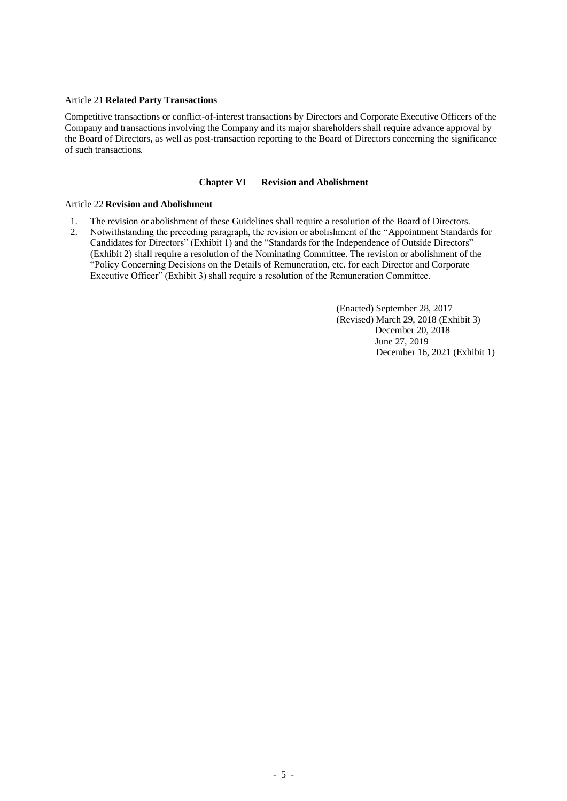#### Article 21 **Related Party Transactions**

Competitive transactions or conflict-of-interest transactions by Directors and Corporate Executive Officers of the Company and transactions involving the Company and its major shareholders shall require advance approval by the Board of Directors, as well as post-transaction reporting to the Board of Directors concerning the significance of such transactions.

### **Chapter VI Revision and Abolishment**

#### Article 22 **Revision and Abolishment**

- 1. The revision or abolishment of these Guidelines shall require a resolution of the Board of Directors.
- 2. Notwithstanding the preceding paragraph, the revision or abolishment of the "Appointment Standards for Candidates for Directors" (Exhibit 1) and the "Standards for the Independence of Outside Directors" (Exhibit 2) shall require a resolution of the Nominating Committee. The revision or abolishment of the "Policy Concerning Decisions on the Details of Remuneration, etc. for each Director and Corporate Executive Officer" (Exhibit 3) shall require a resolution of the Remuneration Committee.

(Enacted) September 28, 2017 (Revised) March 29, 2018 (Exhibit 3) December 20, 2018 June 27, 2019 December 16, 2021 (Exhibit 1)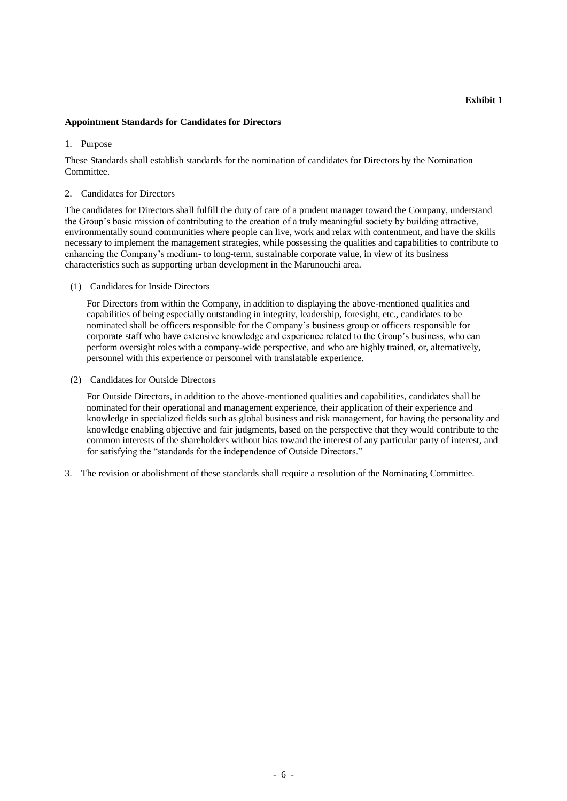#### **Appointment Standards for Candidates for Directors**

1. Purpose

These Standards shall establish standards for the nomination of candidates for Directors by the Nomination Committee.

#### 2. Candidates for Directors

The candidates for Directors shall fulfill the duty of care of a prudent manager toward the Company, understand the Group's basic mission of contributing to the creation of a truly meaningful society by building attractive, environmentally sound communities where people can live, work and relax with contentment, and have the skills necessary to implement the management strategies, while possessing the qualities and capabilities to contribute to enhancing the Company's medium- to long-term, sustainable corporate value, in view of its business characteristics such as supporting urban development in the Marunouchi area.

(1) Candidates for Inside Directors

For Directors from within the Company, in addition to displaying the above-mentioned qualities and capabilities of being especially outstanding in integrity, leadership, foresight, etc., candidates to be nominated shall be officers responsible for the Company's business group or officers responsible for corporate staff who have extensive knowledge and experience related to the Group's business, who can perform oversight roles with a company-wide perspective, and who are highly trained, or, alternatively, personnel with this experience or personnel with translatable experience.

(2) Candidates for Outside Directors

For Outside Directors, in addition to the above-mentioned qualities and capabilities, candidates shall be nominated for their operational and management experience, their application of their experience and knowledge in specialized fields such as global business and risk management, for having the personality and knowledge enabling objective and fair judgments, based on the perspective that they would contribute to the common interests of the shareholders without bias toward the interest of any particular party of interest, and for satisfying the "standards for the independence of Outside Directors."

3. The revision or abolishment of these standards shall require a resolution of the Nominating Committee.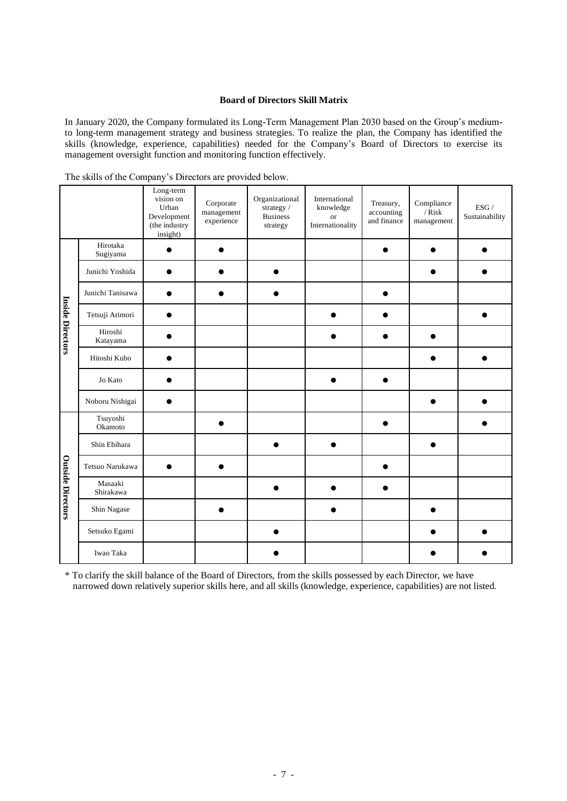## **Board of Directors Skill Matrix**

In January 2020, the Company formulated its Long-Term Management Plan 2030 based on the Group's mediumto long-term management strategy and business strategies. To realize the plan, the Company has identified the skills (knowledge, experience, capabilities) needed for the Company's Board of Directors to exercise its management oversight function and monitoring function effectively.

|                          |                      | Long-term<br>vision on<br>Urban<br>Development<br>(the industry<br>insight) | Corporate<br>management<br>experience | Organizational<br>strategy/<br><b>Business</b><br>strategy | International<br>knowledge<br><b>or</b><br>Internationality | Treasury,<br>accounting<br>and finance | Compliance<br>$/$ $Risk$<br>management | ESG /<br>Sustainability |
|--------------------------|----------------------|-----------------------------------------------------------------------------|---------------------------------------|------------------------------------------------------------|-------------------------------------------------------------|----------------------------------------|----------------------------------------|-------------------------|
| <b>Inside Directors</b>  | Hirotaka<br>Sugiyama |                                                                             |                                       |                                                            |                                                             |                                        |                                        |                         |
|                          | Junichi Yoshida      |                                                                             |                                       |                                                            |                                                             |                                        |                                        |                         |
|                          | Junichi Tanisawa     |                                                                             |                                       |                                                            |                                                             |                                        |                                        |                         |
|                          | Tetsuji Arimori      |                                                                             |                                       |                                                            |                                                             |                                        |                                        |                         |
|                          | Hiroshi<br>Katayama  |                                                                             |                                       |                                                            |                                                             |                                        |                                        |                         |
|                          | Hitoshi Kubo         |                                                                             |                                       |                                                            |                                                             |                                        |                                        |                         |
|                          | Jo Kato              |                                                                             |                                       |                                                            |                                                             |                                        |                                        |                         |
|                          | Noboru Nishigai      |                                                                             |                                       |                                                            |                                                             |                                        |                                        |                         |
| <b>Outside Directors</b> | Tsuyoshi<br>Okamoto  |                                                                             |                                       |                                                            |                                                             |                                        |                                        |                         |
|                          | Shin Ebihara         |                                                                             |                                       |                                                            |                                                             |                                        |                                        |                         |
|                          | Tetsuo Narukawa      |                                                                             |                                       |                                                            |                                                             |                                        |                                        |                         |
|                          | Masaaki<br>Shirakawa |                                                                             |                                       |                                                            |                                                             |                                        |                                        |                         |
|                          | Shin Nagase          |                                                                             |                                       |                                                            |                                                             |                                        |                                        |                         |
|                          | Setsuko Egami        |                                                                             |                                       |                                                            |                                                             |                                        |                                        |                         |
|                          | Iwao Taka            |                                                                             |                                       |                                                            |                                                             |                                        |                                        |                         |

The skills of the Company's Directors are provided below.

\* To clarify the skill balance of the Board of Directors, from the skills possessed by each Director, we have narrowed down relatively superior skills here, and all skills (knowledge, experience, capabilities) are not listed.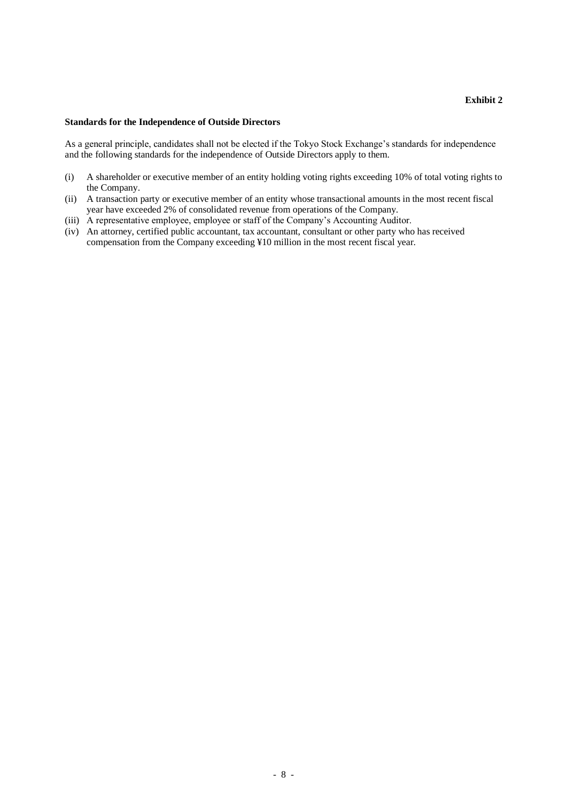## **Standards for the Independence of Outside Directors**

As a general principle, candidates shall not be elected if the Tokyo Stock Exchange's standards for independence and the following standards for the independence of Outside Directors apply to them.

- (i) A shareholder or executive member of an entity holding voting rights exceeding 10% of total voting rights to the Company.
- (ii) A transaction party or executive member of an entity whose transactional amounts in the most recent fiscal year have exceeded 2% of consolidated revenue from operations of the Company.
- (iii) A representative employee, employee or staff of the Company's Accounting Auditor.
- (iv) An attorney, certified public accountant, tax accountant, consultant or other party who has received compensation from the Company exceeding ¥10 million in the most recent fiscal year.